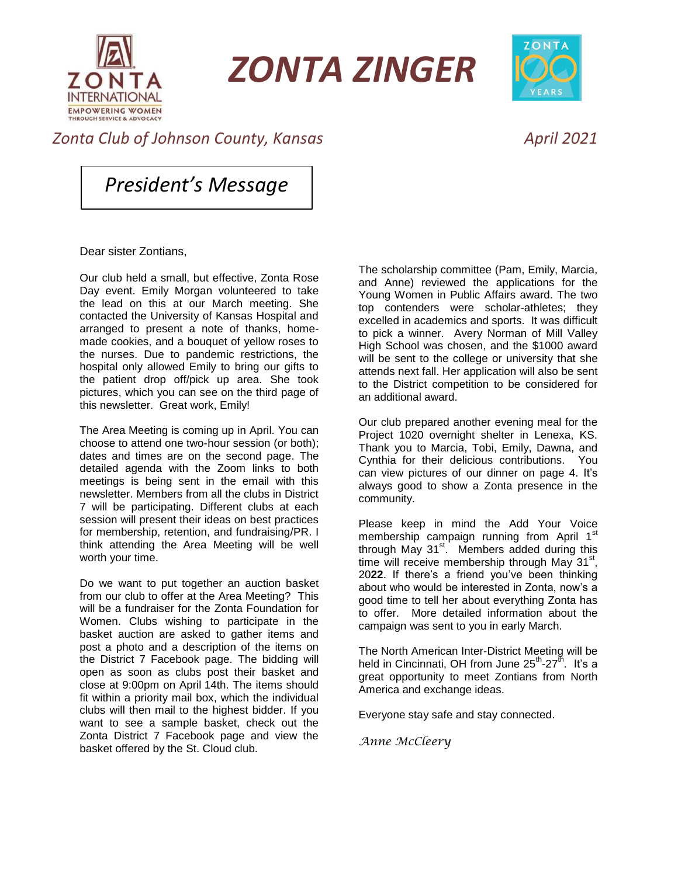

*ZONTA ZINGER*



## *Zonta Club of Johnson County, Kansas April 2021*

*President's Message*

Dear sister Zontians,

Our club held a small, but effective, Zonta Rose Day event. Emily Morgan volunteered to take the lead on this at our March meeting. She contacted the University of Kansas Hospital and arranged to present a note of thanks, homemade cookies, and a bouquet of yellow roses to the nurses. Due to pandemic restrictions, the hospital only allowed Emily to bring our gifts to the patient drop off/pick up area. She took pictures, which you can see on the third page of this newsletter. Great work, Emily!

The Area Meeting is coming up in April. You can choose to attend one two-hour session (or both); dates and times are on the second page. The detailed agenda with the Zoom links to both meetings is being sent in the email with this newsletter. Members from all the clubs in District 7 will be participating. Different clubs at each session will present their ideas on best practices for membership, retention, and fundraising/PR. I think attending the Area Meeting will be well worth your time.

Do we want to put together an auction basket from our club to offer at the Area Meeting? This will be a fundraiser for the Zonta Foundation for Women. Clubs wishing to participate in the basket auction are asked to gather items and post a photo and a description of the items on the District 7 Facebook page. The bidding will open as soon as clubs post their basket and close at 9:00pm on April 14th. The items should fit within a priority mail box, which the individual clubs will then mail to the highest bidder. If you want to see a sample basket, check out the Zonta District 7 Facebook page and view the basket offered by the St. Cloud club.

The scholarship committee (Pam, Emily, Marcia, and Anne) reviewed the applications for the Young Women in Public Affairs award. The two top contenders were scholar-athletes; they excelled in academics and sports. It was difficult to pick a winner. Avery Norman of Mill Valley High School was chosen, and the \$1000 award will be sent to the college or university that she attends next fall. Her application will also be sent to the District competition to be considered for an additional award.

Our club prepared another evening meal for the Project 1020 overnight shelter in Lenexa, KS. Thank you to Marcia, Tobi, Emily, Dawna, and Cynthia for their delicious contributions. You can view pictures of our dinner on page 4. It's always good to show a Zonta presence in the community.

Please keep in mind the Add Your Voice membership campaign running from April 1st through May 31<sup>st</sup>. Members added during this time will receive membership through May  $31^{st}$ , 20**22**. If there's a friend you've been thinking about who would be interested in Zonta, now's a good time to tell her about everything Zonta has to offer. More detailed information about the campaign was sent to you in early March.

The North American Inter-District Meeting will be held in Cincinnati, OH from June 25<sup>th</sup>-27<sup>th</sup>. It's a great opportunity to meet Zontians from North America and exchange ideas.

Everyone stay safe and stay connected.

*Anne McCleery*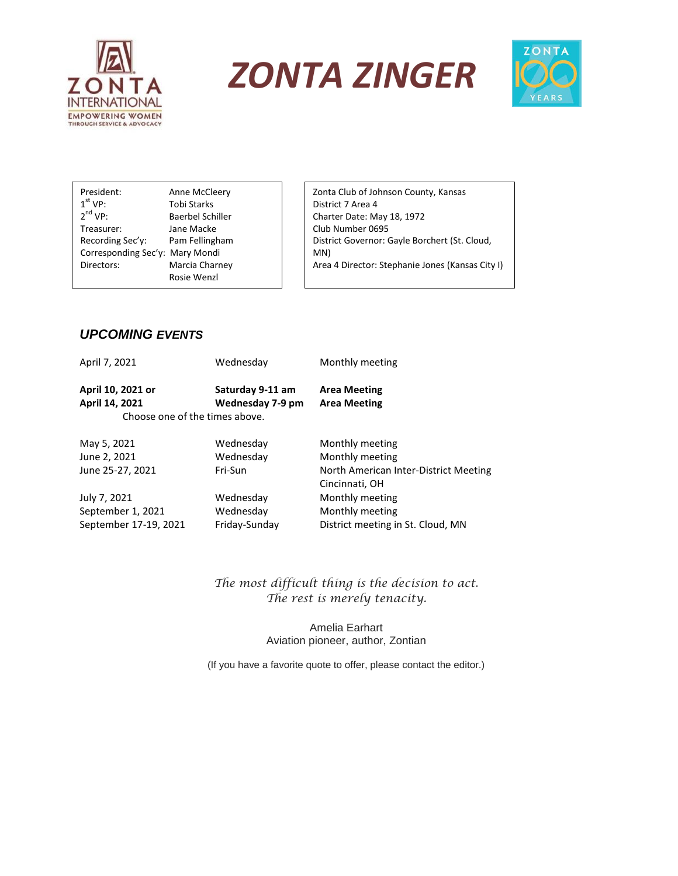





President: Anne McCleery  $1<sup>st</sup> VP:$ Tobi Starks  $2<sup>nd</sup> VP:$ Baerbel Schiller Treasurer: Jane Macke Recording Sec'y: Pam Fellingham Corresponding Sec'y: Mary Mondi Directors: Marcia Charney Rosie Wenzl

Zonta Club of Johnson County, Kansas District 7 Area 4 Charter Date: May 18, 1972 Club Number 0695 District Governor: Gayle Borchert (St. Cloud, MN) Area 4 Director: Stephanie Jones (Kansas City I)

## *UPCOMING EVENTS*

Advocacy Chair: Cynthia Yin

| April 7, 2021     | Wednesday                      | Monthly meeting                       |
|-------------------|--------------------------------|---------------------------------------|
| April 10, 2021 or | Saturday 9-11 am               | <b>Area Meeting</b>                   |
| April 14, 2021    | Wednesday 7-9 pm               | <b>Area Meeting</b>                   |
|                   | Choose one of the times above. |                                       |
| May 5, 2021       | Wednesday                      | Monthly meeting                       |
| June 2, 2021      | Wednesday                      | Monthly meeting                       |
| June 25-27, 2021  | Fri-Sun                        | North American Inter-District Meeting |
|                   |                                | Cincinnati, OH                        |
| July 7, 2021      | Wednesday                      | Monthly meeting                       |
| September 1, 2021 | Wednesday                      | Monthly meeting                       |
|                   |                                |                                       |

September 17-19, 2021 Friday-Sunday District meeting in St. Cloud, MN

*The most difficult thing is the decision to act. The rest is merely tenacity.*

> Amelia Earhart Aviation pioneer, author, Zontian

(If you have a favorite quote to offer, please contact the editor.)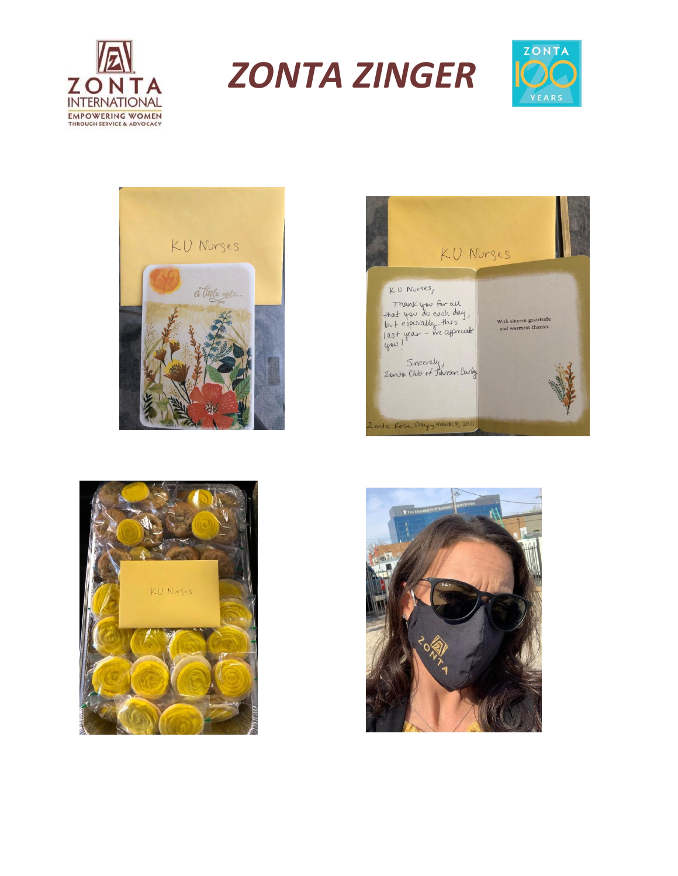

*ZONTA ZINGER*